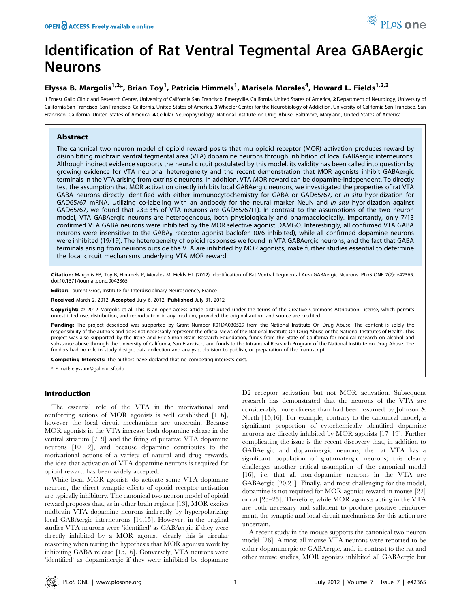# Identification of Rat Ventral Tegmental Area GABAergic Neurons

## Elyssa B. Margolis<sup>1,2</sup>\*, Brian Toy<sup>1</sup>, Patricia Himmels<sup>1</sup>, Marisela Morales<sup>4</sup>, Howard L. Fields<sup>1,2,3</sup>

1 Ernest Gallo Clinic and Research Center, University of California San Francisco, Emeryville, California, United States of America, 2Department of Neurology, University of California San Francisco, San Francisco, California, United States of America, 3 Wheeler Center for the Neurobiology of Addiction, University of California San Francisco, San Francisco, California, United States of America, 4 Cellular Neurophysiology, National Institute on Drug Abuse, Baltimore, Maryland, United States of America

## Abstract

The canonical two neuron model of opioid reward posits that mu opioid receptor (MOR) activation produces reward by disinhibiting midbrain ventral tegmental area (VTA) dopamine neurons through inhibition of local GABAergic interneurons. Although indirect evidence supports the neural circuit postulated by this model, its validity has been called into question by growing evidence for VTA neuronal heterogeneity and the recent demonstration that MOR agonists inhibit GABAergic terminals in the VTA arising from extrinsic neurons. In addition, VTA MOR reward can be dopamine-independent. To directly test the assumption that MOR activation directly inhibits local GABAergic neurons, we investigated the properties of rat VTA GABA neurons directly identified with either immunocytochemistry for GABA or GAD65/67, or in situ hybridization for GAD65/67 mRNA. Utilizing co-labeling with an antibody for the neural marker NeuN and in situ hybridization against GAD65/67, we found that  $23\pm3\%$  of VTA neurons are GAD65/67(+). In contrast to the assumptions of the two neuron model, VTA GABAergic neurons are heterogeneous, both physiologically and pharmacologically. Importantly, only 7/13 confirmed VTA GABA neurons were inhibited by the MOR selective agonist DAMGO. Interestingly, all confirmed VTA GABA neurons were insensitive to the GABA<sub>B</sub> receptor agonist baclofen (0/6 inhibited), while all confirmed dopamine neurons were inhibited (19/19). The heterogeneity of opioid responses we found in VTA GABAergic neurons, and the fact that GABA terminals arising from neurons outside the VTA are inhibited by MOR agonists, make further studies essential to determine the local circuit mechanisms underlying VTA MOR reward.

Citation: Margolis EB, Toy B, Himmels P, Morales M, Fields HL (2012) Identification of Rat Ventral Tegmental Area GABAergic Neurons. PLoS ONE 7(7): e42365. doi:10.1371/journal.pone.0042365

Editor: Laurent Groc, Institute for Interdisciplinary Neuroscience, France

Received March 2, 2012; Accepted July 6, 2012; Published July 31, 2012

Copyright: © 2012 Margolis et al. This is an open-access article distributed under the terms of the Creative Commons Attribution License, which permits unrestricted use, distribution, and reproduction in any medium, provided the original author and source are credited.

Funding: The project described was supported by Grant Number R01DA030529 from the National Institute On Drug Abuse. The content is solely the responsibility of the authors and does not necessarily represent the official views of the National Institute On Drug Abuse or the National Institutes of Health. This project was also supported by the Irene and Eric Simon Brain Research Foundation, funds from the State of California for medical research on alcohol and substance abuse through the University of California, San Francisco, and funds to the Intramural Research Program of the National Institute on Drug Abuse. The funders had no role in study design, data collection and analysis, decision to publish, or preparation of the manuscript.

Competing Interests: The authors have declared that no competing interests exist.

\* E-mail: elyssam@gallo.ucsf.edu

## Introduction

The essential role of the VTA in the motivational and reinforcing actions of MOR agonists is well established [1–6], however the local circuit mechanisms are uncertain. Because MOR agonists in the VTA increase both dopamine release in the ventral striatum [7–9] and the firing of putative VTA dopamine neurons [10–12], and because dopamine contributes to the motivational actions of a variety of natural and drug rewards, the idea that activation of VTA dopamine neurons is required for opioid reward has been widely accepted.

While local MOR agonists do activate some VTA dopamine neurons, the direct synaptic effects of opioid receptor activation are typically inhibitory. The canonical two neuron model of opioid reward proposes that, as in other brain regions [13], MOR excites midbrain VTA dopamine neurons indirectly by hyperpolarizing local GABAergic interneurons [14,15]. However, in the original studies VTA neurons were 'identified' as GABAergic if they were directly inhibited by a MOR agonist; clearly this is circular reasoning when testing the hypothesis that MOR agonists work by inhibiting GABA release [15,16]. Conversely, VTA neurons were 'identified' as dopaminergic if they were inhibited by dopamine

D2 receptor activation but not MOR activation. Subsequent research has demonstrated that the neurons of the VTA are considerably more diverse than had been assumed by Johnson & North [15,16]. For example, contrary to the canonical model, a significant proportion of cytochemically identified dopamine neurons are directly inhibited by MOR agonists [17–19]. Further complicating the issue is the recent discovery that, in addition to GABAergic and dopaminergic neurons, the rat VTA has a significant population of glutamatergic neurons; this clearly challenges another critical assumption of the canonical model [16], i.e. that all non-dopamine neurons in the VTA are GABAergic [20,21]. Finally, and most challenging for the model, dopamine is not required for MOR agonist reward in mouse [22] or rat [23–25]. Therefore, while MOR agonists acting in the VTA are both necessary and sufficient to produce positive reinforcement, the synaptic and local circuit mechanisms for this action are uncertain.

A recent study in the mouse supports the canonical two neuron model [26]. Almost all mouse VTA neurons were reported to be either dopaminergic or GABAergic, and, in contrast to the rat and other mouse studies, MOR agonists inhibited all GABAergic but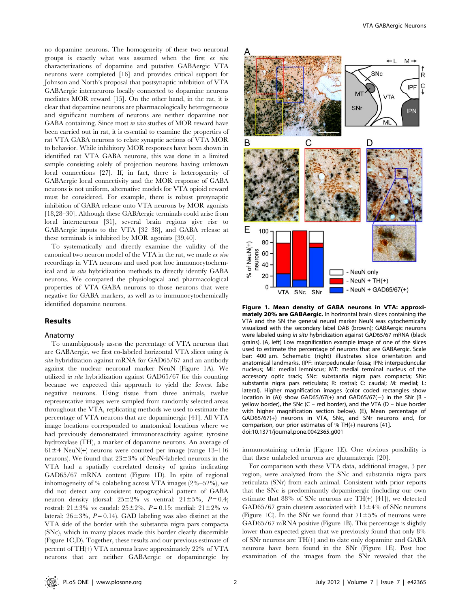no dopamine neurons. The homogeneity of these two neuronal groups is exactly what was assumed when the first ex vivo characterizations of dopamine and putative GABAergic VTA neurons were completed [16] and provides critical support for Johnson and North's proposal that postsynaptic inhibition of VTA GABAergic interneurons locally connected to dopamine neurons mediates MOR reward [15]. On the other hand, in the rat, it is clear that dopamine neurons are pharmacologically heterogeneous and significant numbers of neurons are neither dopamine nor GABA containing. Since most in vivo studies of MOR reward have been carried out in rat, it is essential to examine the properties of rat VTA GABA neurons to relate synaptic actions of VTA MOR to behavior. While inhibitory MOR responses have been shown in identified rat VTA GABA neurons, this was done in a limited sample consisting solely of projection neurons having unknown local connections [27]. If, in fact, there is heterogeneity of GABAergic local connectivity and the MOR response of GABA neurons is not uniform, alternative models for VTA opioid reward must be considered. For example, there is robust presynaptic inhibition of GABA release onto VTA neurons by MOR agonists [18,28–30]. Although these GABAergic terminals could arise from local interneurons [31], several brain regions give rise to GABAergic inputs to the VTA [32–38], and GABA release at these terminals is inhibited by MOR agonists [39,40].

To systematically and directly examine the validity of the canonical two neuron model of the VTA in the rat, we made ex vivo recordings in VTA neurons and used post hoc immunocytochemical and in situ hybridization methods to directly identify GABA neurons. We compared the physiological and pharmacological properties of VTA GABA neurons to those neurons that were negative for GABA markers, as well as to immunocytochemically identified dopamine neurons.

## Results

#### Anatomy

To unambiguously assess the percentage of VTA neurons that are GABAergic, we first co-labeled horizontal VTA slices using in situ hybridization against mRNA for GAD65/67 and an antibody against the nuclear neuronal marker NeuN (Figure 1A). We utilized in situ hybridization against GAD65/67 for this counting because we expected this approach to yield the fewest false negative neurons. Using tissue from three animals, twelve representative images were sampled from randomly selected areas throughout the VTA, replicating methods we used to estimate the percentage of VTA neurons that are dopaminergic [41]. All VTA image locations corresponded to anatomical locations where we had previously demonstrated immunoreactivity against tyrosine hydroxylase (TH), a marker of dopamine neurons. An average of  $61\pm4$  NeuN(+) neurons were counted per image (range 13–116 neurons). We found that  $23\pm3\%$  of NeuN-labeled neurons in the VTA had a spatially correlated density of grains indicating GAD65/67 mRNA content (Figure 1D). In spite of regional inhomogeneity of % colabeling across VTA images (2%–52%), we did not detect any consistent topographical pattern of GABA neuron density (dorsal:  $25\pm2\%$  vs ventral:  $21\pm5\%$ ,  $P=0.4$ ; rostral:  $21 \pm 3\%$  vs caudal:  $25 \pm 2\%$ ,  $P = 0.15$ ; medial:  $21 \pm 2\%$  vs lateral:  $26\pm3\%$ ,  $P = 0.14$ ). GAD labeling was also distinct at the VTA side of the border with the substantia nigra pars compacta (SNc), which in many places made this border clearly discernible (Figure 1C,D). Together, these results and our previous estimate of percent of TH(+) VTA neurons leave approximately 22% of VTA neurons that are neither GABAergic or dopaminergic by



Figure 1. Mean density of GABA neurons in VTA: approximately 20% are GABAergic. In horizontal brain slices containing the VTA and the SN the general neural marker NeuN was cytochemically visualized with the secondary label DAB (brown); GABAergic neurons were labeled using in situ hybridization against GAD65/67 mRNA (black grains). (A, left) Low magnification example image of one of the slices used to estimate the percentage of neurons that are GABAergic. Scale bar: 400 µm. Schematic (right) illustrates slice orientation and anatomical landmarks. (IPF: interpeduncular fossa; IPN: interpeduncular nucleus; ML: medial lemniscus; MT: medial terminal nucleus of the accessory optic track; SNc: substantia nigra pars compacta; SNr: substantia nigra pars reticulata; R: rostral; C: caudal; M: medial; L: lateral). Higher magnification images (color coded rectangles show location in (A)) show GAD65/67(+) and GAD65/67(-) in the SNr (B yellow border), the SNc (C – red border), and the VTA (D – blue border with higher magnification section below). (E), Mean percentage of GAD65/67(+) neurons in VTA, SNc, and SNr neurons and, for comparison, our prior estimates of % TH(+) neurons [41]. doi:10.1371/journal.pone.0042365.g001

immunostaining criteria (Figure 1E). One obvious possibility is that these unlabeled neurons are glutamatergic [20].

For comparison with these VTA data, additional images, 3 per region, were analyzed from the SNc and substantia nigra pars reticulata (SNr) from each animal. Consistent with prior reports that the SNc is predominantly dopaminergic (including our own estimate that 88% of SNc neurons are TH(+) [41]), we detected GAD65/67 grain clusters associated with  $13\pm4\%$  of SNc neurons (Figure 1C). In the SNr we found that  $71\pm5\%$  of neurons were GAD65/67 mRNA positive (Figure 1B). This percentage is slightly lower than expected given that we previously found that only 8% of SNr neurons are TH(+) and to date only dopamine and GABA neurons have been found in the SNr (Figure 1E). Post hoc examination of the images from the SNr revealed that the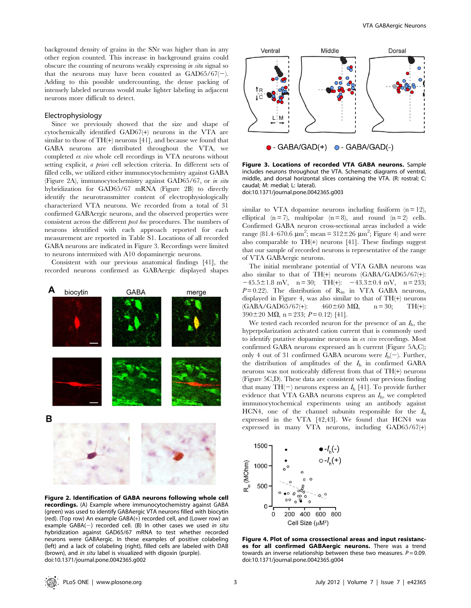background density of grains in the SNr was higher than in any other region counted. This increase in background grains could obscure the counting of neurons weakly expressing in situ signal so that the neurons may have been counted as  $GAD65/67(-)$ . Adding to this possible undercounting, the dense packing of intensely labeled neurons would make lighter labeling in adjacent neurons more difficult to detect.

#### Electrophysiology

Since we previously showed that the size and shape of cytochemically identified GAD67(+) neurons in the VTA are similar to those of TH(+) neurons [41], and because we found that GABA neurons are distributed throughout the VTA, we completed ex vivo whole cell recordings in VTA neurons without setting explicit, a priori cell selection criteria. In different sets of filled cells, we utilized either immunocytochemistry against GABA (Figure 2A), immunocytochemistry against GAD65/67, or in situ hybridization for GAD65/67 mRNA (Figure 2B) to directly identify the neurotransmitter content of electrophysiologically characterized VTA neurons. We recorded from a total of 31 confirmed GABAergic neurons, and the observed properties were consistent across the different post hoc procedures. The numbers of neurons identified with each approach reported for each measurement are reported in Table S1. Locations of all recorded GABA neurons are indicated in Figure 3. Recordings were limited to neurons intermixed with A10 dopaminergic neurons.

Consistent with our previous anatomical findings [41], the recorded neurons confirmed as GABAergic displayed shapes



Figure 2. Identification of GABA neurons following whole cell **recordings.** (A) Example where immunocytochemistry against GABA (green) was used to identify GABAergic VTA neurons filled with biocytin (red). (Top row) An example GABA(+) recorded cell, and (Lower row) an example  $GABA(-)$  recorded cell. (B) In other cases we used in situ hybridization against GAD65/67 mRNA to test whether recorded neurons were GABAergic. In these examples of positive colabeling (left) and a lack of colabeling (right), filled cells are labeled with DAB (brown), and in situ label is visualized with digoxin (purple). doi:10.1371/journal.pone.0042365.g002



Figure 3. Locations of recorded VTA GABA neurons. Sample includes neurons throughout the VTA. Schematic diagrams of ventral, middle, and dorsal horizontal slices containing the VTA. (R: rostral; C: caudal; M: medial; L: lateral). doi:10.1371/journal.pone.0042365.g003

similar to VTA dopamine neurons including fusiform  $(n = 12)$ , elliptical  $(n=7)$ , multipolar  $(n=8)$ , and round  $(n=2)$  cells. Confirmed GABA neuron cross-sectional areas included a wide range (81.4–670.6  $\mu$ m<sup>2</sup>; mean = 312±26  $\mu$ m<sup>2</sup>; Figure 4) and were also comparable to  $TH(+)$  neurons [41]. These findings suggest that our sample of recorded neurons is representative of the range of VTA GABAergic neurons.

The initial membrane potential of VTA GABA neurons was also similar to that of TH(+) neurons (GABA/GAD65/67(+):  $-45.5\pm1.8$  mV, n = 30; TH(+):  $-43.3\pm0.4$  mV, n = 233;  $P=0.22$ ). The distribution of  $R_{in}$  in VTA GABA neurons, displayed in Figure 4, was also similar to that of TH(+) neurons  $(GABA/GAD65/67+)$ :  $460 \pm 60$  M $\Omega$ ,  $n = 30$ ; TH(+):  $390 \pm 20$  M $\Omega$ , n = 233; P = 0.12) [41].

We tested each recorded neuron for the presence of an  $I<sub>h</sub>$ , the hyperpolarization activated cation current that is commonly used to identify putative dopamine neurons in ex vivo recordings. Most confirmed GABA neurons expressed an h current (Figure 5A,C); only 4 out of 31 confirmed GABA neurons were  $I_h(-)$ . Further, the distribution of amplitudes of the  $I<sub>h</sub>$  in confirmed GABA neurons was not noticeably different from that of TH(+) neurons (Figure 5C,D). These data are consistent with our previous finding that many  $TH(-)$  neurons express an  $I<sub>h</sub>$  [41]. To provide further evidence that VTA GABA neurons express an  $I<sub>h</sub>$ , we completed immunocytochemical experiments using an antibody against HCN4, one of the channel subunits responsible for the  $I<sub>h</sub>$ expressed in the VTA [42,43]. We found that HCN4 was expressed in many VTA neurons, including GAD65/67(+)



Figure 4. Plot of soma crossectional areas and input resistances for all confirmed GABAergic neurons. There was a trend towards an inverse relationship between these two measures.  $P = 0.09$ . doi:10.1371/journal.pone.0042365.g004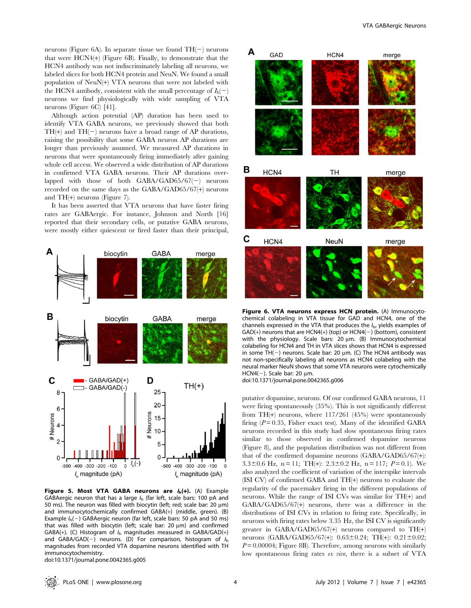neurons (Figure 6A). In separate tissue we found  $TH(-)$  neurons that were HCN4(+) (Figure 6B). Finally, to demonstrate that the HCN4 antibody was not indiscriminately labeling all neurons, we labeled slices for both HCN4 protein and NeuN. We found a small population of NeuN(+) VTA neurons that were not labeled with the HCN4 antibody, consistent with the small percentage of  $I_h(-)$ neurons we find physiologically with wide sampling of VTA neurons (Figure 6C) [41].

Although action potential (AP) duration has been used to identify VTA GABA neurons, we previously showed that both  $TH(+)$  and  $TH(-)$  neurons have a broad range of AP durations, raising the possibility that some GABA neuron AP durations are longer than previously assumed. We measured AP durations in neurons that were spontaneously firing immediately after gaining whole cell access. We observed a wide distribution of AP durations in confirmed VTA GABA neurons. Their AP durations overlapped with those of both  $GABA/GAD65/67(-)$  neurons recorded on the same days as the GABA/GAD65/67(+) neurons and TH(+) neurons (Figure 7).

It has been asserted that VTA neurons that have faster firing rates are GABAergic. For instance, Johnson and North [16] reported that their secondary cells, or putative GABA neurons, were mostly either quiescent or fired faster than their principal,



Figure 5. Most VTA GABA neurons are  $I_h(+)$ . (A) Example GABAergic neuron that has a large  $I<sub>h</sub>$  (far left, scale bars: 100 pA and 50 ms). The neuron was filled with biocytin (left; red; scale bar: 20  $\mu$ m) and immunocytochemically confirmed GABA(+) (middle, green). (B) Example  $I_h(-)$  GABAergic neuron (far left, scale bars: 50 pA and 50 ms) that was filled with biocytin (left; scale bar:  $20 \mu m$ ) and confirmed GABA(+). (C) Histogram of  $I<sub>h</sub>$  magnitudes measured in GABA/GAD(+) and GABA/GAD(-) neurons. (D) For comparison, histogram of  $I<sub>h</sub>$ magnitudes from recorded VTA dopamine neurons identified with TH immunocytochemistry.

doi:10.1371/journal.pone.0042365.g005



Figure 6. VTA neurons express HCN protein. (A) Immunocytochemical colabeling in VTA tissue for GAD and HCN4, one of the channels expressed in the VTA that produces the  $I<sub>h</sub>$ , yields examples of  $GAD(+)$  neurons that are  $HCN4(+)$  (top) or  $HCN4(-)$  (bottom), consistent with the physiology. Scale bars:  $20 \mu m$ . (B) Immunocytochemical colabeling for HCN4 and TH in VTA slices shows that HCN4 is expressed in some TH( $-$ ) neurons. Scale bar: 20  $\mu$ m. (C) The HCN4 antibody was not non-specifically labeling all neurons as HCN4 colabeling with the neural marker NeuN shows that some VTA neurons were cytochemically HCN4(-). Scale bar: 20  $\mu$ m. doi:10.1371/journal.pone.0042365.g006

putative dopamine, neurons. Of our confirmed GABA neurons, 11 were firing spontaneously (35%). This is not significantly different from TH(+) neurons, where 117/261 (45%) were spontaneously firing  $(P = 0.35$ , Fisher exact test). Many of the identified GABA neurons recorded in this study had slow spontaneous firing rates similar to those observed in confirmed dopamine neurons (Figure 8), and the population distribution was not different from that of the confirmed dopamine neurons (GABA/GAD65/67(+): 3.3 $\pm$ 0.6 Hz, n = 11; TH(+): 2.3 $\pm$ 0.2 Hz, n = 117; P = 0.1). We also analyzed the coefficient of variation of the interspike intervals (ISI CV) of confirmed GABA and TH(+) neurons to evaluate the regularity of the pacemaker firing in the different populations of neurons. While the range of ISI CVs was similar for TH(+) and GABA/GAD65/67(+) neurons, there was a difference in the distributions of ISI CVs in relation to firing rate. Specifically, in neurons with firing rates below 3.35 Hz, the ISI CV is significantly greater in GABA/GAD65/67(+) neurons compared to  $TH(+)$ neurons (GABA/GAD65/67(+):  $0.63 \pm 0.24$ ; TH(+):  $0.21 \pm 0.02$ ;  $P = 0.00004$ ; Figure 8B). Therefore, among neurons with similarly low spontaneous firing rates ex vivo, there is a subset of VTA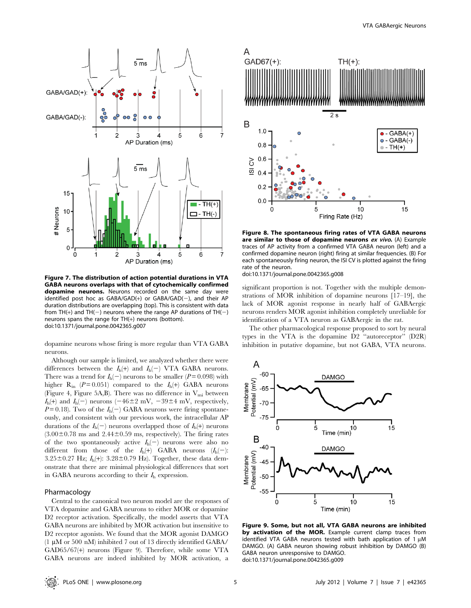

Figure 7. The distribution of action potential durations in VTA GABA neurons overlaps with that of cytochemically confirmed dopamine neurons. Neurons recorded on the same day were identified post hoc as  $GABA/GAD(+)$  or  $GABA/GAD(-)$ , and their AP duration distributions are overlapping (top). This is consistent with data from TH(+) and TH(-) neurons where the range AP durations of TH(-) neurons spans the range for TH(+) neurons (bottom). doi:10.1371/journal.pone.0042365.g007

dopamine neurons whose firing is more regular than VTA GABA neurons.

Although our sample is limited, we analyzed whether there were differences between the  $I_h(+)$  and  $I_h(-)$  VTA GABA neurons. There was a trend for  $I_h(-)$  neurons to be smaller ( $P = 0.098$ ) with higher  $R_{in}$  ( $P = 0.051$ ) compared to the  $I_h(+)$  GABA neurons (Figure 4, Figure 5A,B). There was no difference in  $V_{mi}$  between  $I_h$ (+) and  $I_h$ (-) neurons (-46±2 mV, -39±4 mV, respectively,  $P = 0.18$ ). Two of the  $I_h(-)$  GABA neurons were firing spontaneously, and consistent with our previous work, the intracellular AP durations of the  $I_h(-)$  neurons overlapped those of  $I_h(+)$  neurons  $(3.00\pm0.78 \text{ ms and } 2.44\pm0.59 \text{ ms, respectively}).$  The firing rates of the two spontaneously active  $I_h(-)$  neurons were also no different from those of the  $I_h(+)$  GABA neurons  $(I_h(-))$ :  $3.25\pm0.27$  Hz;  $I_h(+)$ :  $3.28\pm0.79$  Hz). Together, these data demonstrate that there are minimal physiological differences that sort in GABA neurons according to their  $I<sub>h</sub>$  expression.

#### Pharmacology

Central to the canonical two neuron model are the responses of VTA dopamine and GABA neurons to either MOR or dopamine D2 receptor activation. Specifically, the model asserts that VTA GABA neurons are inhibited by MOR activation but insensitive to D2 receptor agonists. We found that the MOR agonist DAMGO  $(1 \mu M \text{ or } 500 \text{ nM})$  inhibited 7 out of 13 directly identified GABA/ GAD65/67(+) neurons (Figure 9). Therefore, while some VTA GABA neurons are indeed inhibited by MOR activation, a



Figure 8. The spontaneous firing rates of VTA GABA neurons are similar to those of dopamine neurons ex vivo. (A) Example traces of AP activity from a confirmed VTA GABA neuron (left) and a confirmed dopamine neuron (right) firing at similar frequencies. (B) For each spontaneously firing neuron, the ISI CV is plotted against the firing rate of the neuron.

doi:10.1371/journal.pone.0042365.g008

significant proportion is not. Together with the multiple demonstrations of MOR inhibition of dopamine neurons [17–19], the lack of MOR agonist response in nearly half of GABAergic neurons renders MOR agonist inhibition completely unreliable for identification of a VTA neuron as GABAergic in the rat.

The other pharmacological response proposed to sort by neural types in the VTA is the dopamine D2 ''autoreceptor'' (D2R) inhibition in putative dopamine, but not GABA, VTA neurons.



Figure 9. Some, but not all, VTA GABA neurons are inhibited by activation of the MOR. Example current clamp traces from identified VTA GABA neurons tested with bath application of 1  $\mu$ M DAMGO. (A) GABA neuron showing robust inhibition by DAMGO (B) GABA neuron unresponsive to DAMGO. doi:10.1371/journal.pone.0042365.g009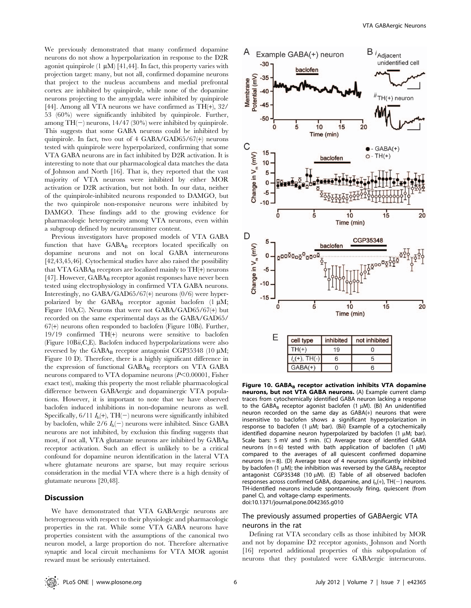We previously demonstrated that many confirmed dopamine neurons do not show a hyperpolarization in response to the D2R agonist quinpirole  $(1 \mu M)$  [41,44]. In fact, this property varies with projection target: many, but not all, confirmed dopamine neurons that project to the nucleus accumbens and medial prefrontal cortex are inhibited by quinpirole, while none of the dopamine neurons projecting to the amygdala were inhibited by quinpirole [44]. Among all VTA neurons we have confirmed as TH(+), 32/ 53 (60%) were significantly inhibited by quinpirole. Further, among  $TH(-)$  neurons, 14/47 (30%) were inhibited by quinpirole. This suggests that some GABA neurons could be inhibited by quinpirole. In fact, two out of 4 GABA/GAD65/67(+) neurons tested with quinpirole were hyperpolarized, confirming that some VTA GABA neurons are in fact inhibited by D2R activation. It is interesting to note that our pharmacological data matches the data of Johnson and North [16]. That is, they reported that the vast majority of VTA neurons were inhibited by either MOR activation or D2R activation, but not both. In our data, neither of the quinpirole-inhibited neurons responded to DAMGO, but the two quinpirole non-responsive neurons were inhibited by DAMGO. These findings add to the growing evidence for pharmacologic heterogeneity among VTA neurons, even within a subgroup defined by neurotransmitter content.

Previous investigators have proposed models of VTA GABA function that have  $GABA_B$  receptors located specifically on dopamine neurons and not on local GABA interneurons [42,43,45,46]. Cytochemical studies have also raised the possibility that VTA GABA<sub>B</sub> receptors are localized mainly to  $TH(+)$  neurons [47]. However, GABA<sub>B</sub> receptor agonist responses have never been tested using electrophysiology in confirmed VTA GABA neurons. Interestingly, no GABA/GAD65/67(+) neurons (0/6) were hyperpolarized by the  $GABA_B$  receptor agonist baclofen (1  $\mu$ M; Figure 10A,C). Neurons that were not GABA/GAD65/67(+) but recorded on the same experimental days as the GABA/GAD65/  $67(+)$  neurons often responded to baclofen (Figure 10Bi). Further, 19/19 confirmed TH(+) neurons were sensitive to baclofen (Figure 10Bii,C,E). Baclofen induced hyperpolarizations were also reversed by the GABA<sub>B</sub> receptor antagonist CGP35348 (10  $\mu$ M; Figure 10 D). Therefore, there is a highly significant difference in the expression of functional  $GABA_B$  receptors on VTA  $GABA$ neurons compared to VTA dopamine neurons  $(P<0.00001,$  Fisher exact test), making this property the most reliable pharmacological difference between GABAergic and dopaminergic VTA populations. However, it is important to note that we have observed baclofen induced inhibitions in non-dopamine neurons as well. Specifically,  $6/11 I_h(+)$ , TH(-) neurons were significantly inhibited by baclofen, while  $2/6$   $I_h(-)$  neurons were inhibited. Since GABA neurons are not inhibited, by exclusion this finding suggests that most, if not all, VTA glutamate neurons are inhibited by  $GABA_B$ receptor activation. Such an effect is unlikely to be a critical confound for dopamine neuron identification in the lateral VTA where glutamate neurons are sparse, but may require serious consideration in the medial VTA where there is a high density of glutamate neurons [20,48].

## Discussion

We have demonstrated that VTA GABAergic neurons are heterogeneous with respect to their physiologic and pharmacologic properties in the rat. While some VTA GABA neurons have properties consistent with the assumptions of the canonical two neuron model, a large proportion do not. Therefore alternative synaptic and local circuit mechanisms for VTA MOR agonist reward must be seriously entertained.



Figure 10. GABAB receptor activation inhibits VTA dopamine neurons, but not VTA GABA neurons. (A) Example current clamp traces from cytochemically identified GABA neuron lacking a response to the GABA<sub>B</sub> receptor agonist baclofen (1  $\mu$ M). (Bi) An unidentified neuron recorded on the same day as GABA(+) neurons that were insensitive to baclofen shows a significant hyperpolarization in response to baclofen (1  $\mu$ M; bar). (Bii) Example of a cytochemically identified dopamine neuron hyperpolarized by baclofen  $(1 \mu M;$  bar). Scale bars: 5 mV and 5 min. (C) Average trace of identified GABA neurons (n = 6) tested with bath application of baclofen (1  $\mu$ M) compared to the averages of all quiescent confirmed dopamine neurons ( $n = 8$ ). (D) Average trace of 4 neurons significantly inhibited by baclofen (1  $\mu$ M); the inhibition was reversed by the GABAB receptor antagonist CGP35348 (10  $\mu$ M). (E) Table of all observed baclofen responses across confirmed GABA, dopamine, and  $I_h(+)$ , TH(-) neurons. TH-identified neurons include spontaneously firing, quiescent (from panel C), and voltage-clamp experiments. doi:10.1371/journal.pone.0042365.g010

## The previously assumed properties of GABAergic VTA neurons in the rat

Defining rat VTA secondary cells as those inhibited by MOR and not by dopamine D2 receptor agonists, Johnson and North [16] reported additional properties of this subpopulation of neurons that they postulated were GABAergic interneurons.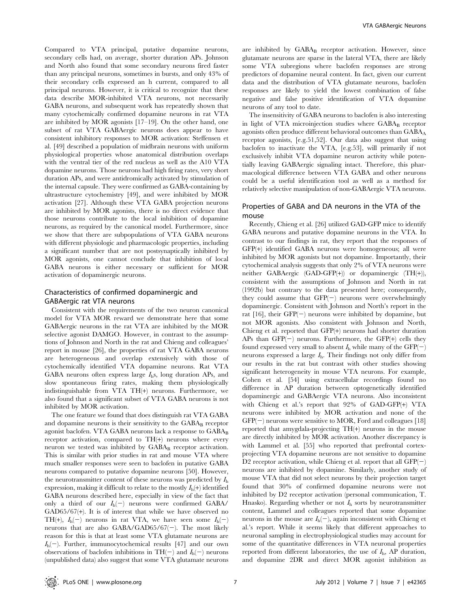Compared to VTA principal, putative dopamine neurons, secondary cells had, on average, shorter duration APs. Johnson and North also found that some secondary neurons fired faster than any principal neurons, sometimes in bursts, and only 43% of their secondary cells expressed an h current, compared to all principal neurons. However, it is critical to recognize that these data describe MOR-inhibited VTA neurons, not necessarily GABA neurons, and subsequent work has repeatedly shown that many cytochemically confirmed dopamine neurons in rat VTA are inhibited by MOR agonists [17–19]. On the other hand, one subset of rat VTA GABAergic neurons does appear to have consistent inhibitory responses to MOR activation: Steffensen et al. [49] described a population of midbrain neurons with uniform physiological properties whose anatomical distribution overlaps with the ventral tier of the red nucleus as well as the A10 VTA dopamine neurons. Those neurons had high firing rates, very short duration APs, and were antidromically activated by stimulation of the internal capsule. They were confirmed as GABA-containing by ultrastructure cytochemistry [49], and were inhibited by MOR activation [27]. Although these VTA GABA projection neurons are inhibited by MOR agonists, there is no direct evidence that those neurons contribute to the local inhibition of dopamine neurons, as required by the canonical model. Furthermore, since we show that there are subpopulations of VTA GABA neurons with different physiologic and pharmacologic properties, including a significant number that are not postsynaptically inhibited by MOR agonists, one cannot conclude that inhibition of local GABA neurons is either necessary or sufficient for MOR activation of dopaminergic neurons.

## Characteristics of confirmed dopaminergic and GABAergic rat VTA neurons

Consistent with the requirements of the two neuron canonical model for VTA MOR reward we demonstrate here that some GABAergic neurons in the rat VTA are inhibited by the MOR selective agonist DAMGO. However, in contrast to the assumptions of Johnson and North in the rat and Chieng and colleagues' report in mouse [26], the properties of rat VTA GABA neurons are heterogeneous and overlap extensively with those of cytochemically identified VTA dopamine neurons. Rat VTA GABA neurons often express large  $I<sub>h</sub>$ s, long duration APs, and slow spontaneous firing rates, making them physiologically indistinguishable from VTA TH(+) neurons. Furthermore, we also found that a significant subset of VTA GABA neurons is not inhibited by MOR activation.

The one feature we found that does distinguish rat VTA GABA and dopamine neurons is their sensitivity to the  $GABA_B$  receptor agonist baclofen. VTA GABA neurons lack a response to GABAB receptor activation, compared to TH(+) neurons where every neuron we tested was inhibited by GABAB receptor activation. This is similar with prior studies in rat and mouse VTA where much smaller responses were seen to baclofen in putative GABA neurons compared to putative dopamine neurons [50]. However, the neurotransmitter content of these neurons was predicted by  $I<sub>h</sub>$ expression, making it difficult to relate to the mostly  $I_h$ (+) identified GABA neurons described here, especially in view of the fact that only a third of our  $I_h(-)$  neurons were confirmed GABA/  $GAD65/67(+)$ . It is of interest that while we have observed no TH(+),  $I_h(-)$  neurons in rat VTA, we have seen some  $I_h(-)$ neurons that are also  $GABA/GAD65/67(-)$ . The most likely reason for this is that at least some VTA glutamate neurons are  $I_h(-)$ . Further, immunocytochemical results [47] and our own observations of baclofen inhibitions in  $TH(-)$  and  $I_h(-)$  neurons (unpublished data) also suggest that some VTA glutamate neurons

are inhibited by GABA<sub>B</sub> receptor activation. However, since glutamate neurons are sparse in the lateral VTA, there are likely some VTA subregions where baclofen responses are strong predictors of dopamine neural content. In fact, given our current data and the distribution of VTA glutamate neurons, baclofen responses are likely to yield the lowest combination of false negative and false positive identification of VTA dopamine neurons of any tool to date.

The insensitivity of GABA neurons to baclofen is also interesting in light of VTA microinjection studies where  $GABA_B$  receptor agonists often produce different behavioral outcomes than GABA<sub>A</sub> receptor agonists, [e.g.51,52]. Our data also suggest that using baclofen to inactivate the VTA, [e.g.53], will primarily if not exclusively inhibit VTA dopamine neuron activity while potentially leaving GABAergic signaling intact. Therefore, this pharmacological difference between VTA GABA and other neurons could be a useful identification tool as well as a method for relatively selective manipulation of non-GABAergic VTA neurons.

## Properties of GABA and DA neurons in the VTA of the mouse

Recently, Chieng et al. [26] utilized GAD-GFP mice to identify GABA neurons and putative dopamine neurons in the VTA. In contrast to our findings in rat, they report that the responses of GFP(+) identified GABA neurons were homogeneous; all were inhibited by MOR agonists but not dopamine. Importantly, their cytochemical analysis suggests that only 2% of VTA neurons were neither GABAergic (GAD-GFP(+)) or dopaminergic (TH(+)), consistent with the assumptions of Johnson and North in rat (1992b) but contrary to the data presented here; consequently, they could assume that  $GFP(-)$  neurons were overwhelmingly dopaminergic. Consistent with Johnson and North's report in the rat  $[16]$ , their GFP $(-)$  neurons were inhibited by dopamine, but not MOR agonists. Also consistent with Johnson and North, Chieng et al. reported that GFP(+) neurons had shorter duration APs than  $GFP(-)$  neurons. Furthermore, the  $GFP(+)$  cells they found expressed very small to absent  $I_h$  while many of the  $GFP(-)$ neurons expressed a large  $I<sub>h</sub>$ . Their findings not only differ from our results in the rat but contrast with other studies showing significant heterogeneity in mouse VTA neurons. For example, Cohen et al. [54] using extracellular recordings found no difference in AP duration between optogenetically identified dopaminergic and GABAergic VTA neurons. Also inconsistent with Chieng et al.'s report that 92% of GAD-GFP(+) VTA neurons were inhibited by MOR activation and none of the  $GFP(-)$  neurons were sensitive to MOR, Ford and colleagues [18] reported that amygdala-projecting TH(+) neurons in the mouse are directly inhibited by MOR activation. Another discrepancy is with Lammel et al. [55] who reported that prefrontal cortexprojecting VTA dopamine neurons are not sensitive to dopamine D2 receptor activation, while Chieng et al. report that all  $GFP(-)$ neurons are inhibited by dopamine. Similarly, another study of mouse VTA that did not select neurons by their projection target found that 30% of confirmed dopamine neurons were not inhibited by D2 receptor activation (personal communication, T. Hnasko). Regarding whether or not  $I<sub>h</sub>$  sorts by neurotransmitter content, Lammel and colleagues reported that some dopamine neurons in the mouse are  $I_h(-)$ , again inconsistent with Chieng et al.'s report. While it seems likely that different approaches to neuronal sampling in electrophysiological studies may account for some of the quantitative differences in VTA neuronal properties reported from different laboratories, the use of  $I<sub>h</sub>$ , AP duration, and dopamine 2DR and direct MOR agonist inhibition as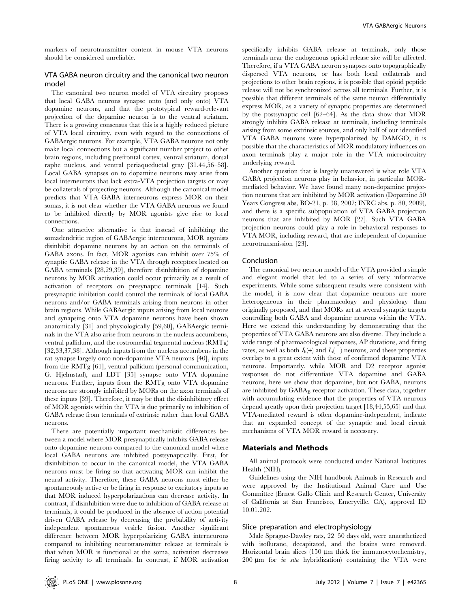markers of neurotransmitter content in mouse VTA neurons should be considered unreliable.

## VTA GABA neuron circuitry and the canonical two neuron model

The canonical two neuron model of VTA circuitry proposes that local GABA neurons synapse onto (and only onto) VTA dopamine neurons, and that the prototypical reward-relevant projection of the dopamine neuron is to the ventral striatum. There is a growing consensus that this is a highly reduced picture of VTA local circuitry, even with regard to the connections of GABAergic neurons. For example, VTA GABA neurons not only make local connections but a significant number project to other brain regions, including prefrontal cortex, ventral striatum, dorsal raphe nucleus, and ventral periaqueductal gray [31,44,56–58]. Local GABA synapses on to dopamine neurons may arise from local interneurons that lack extra-VTA projection targets or may be collaterals of projecting neurons. Although the canonical model predicts that VTA GABA interneurons express MOR on their somas, it is not clear whether the VTA GABA neurons we found to be inhibited directly by MOR agonists give rise to local connections.

One attractive alternative is that instead of inhibiting the somadendritic region of GABAergic interneurons, MOR agonists disinhibit dopamine neurons by an action on the terminals of GABA axons. In fact, MOR agonists can inhibit over 75% of synaptic GABA release in the VTA through receptors located on GABA terminals [28,29,39], therefore disinhibition of dopamine neurons by MOR activation could occur primarily as a result of activation of receptors on presynaptic terminals [14]. Such presynaptic inhibition could control the terminals of local GABA neurons and/or GABA terminals arising from neurons in other brain regions. While GABAergic inputs arising from local neurons and synapsing onto VTA dopamine neurons have been shown anatomically [31] and physiologically [59,60], GABAergic terminals in the VTA also arise from neurons in the nucleus accumbens, ventral pallidum, and the rostromedial tegmental nucleus (RMTg) [32,33,37,38]. Although inputs from the nucleus accumbens in the rat synapse largely onto non-dopamine VTA neurons [40], inputs from the RMTg [61], ventral pallidum (personal communication, G. Hjelmstad), and LDT [35] synapse onto VTA dopamine neurons. Further, inputs from the RMTg onto VTA dopamine neurons are strongly inhibited by MORs on the axon terminals of these inputs [39]. Therefore, it may be that the disinhibitory effect of MOR agonists within the VTA is due primarily to inhibition of GABA release from terminals of extrinsic rather than local GABA neurons.

There are potentially important mechanistic differences between a model where MOR presynaptically inhibits GABA release onto dopamine neurons compared to the canonical model where local GABA neurons are inhibited postsynaptically. First, for disinhibition to occur in the canonical model, the VTA GABA neurons must be firing so that activating MOR can inhibit the neural activity. Therefore, these GABA neurons must either be spontaneously active or be firing in response to excitatory inputs so that MOR induced hyperpolarizations can decrease activity. In contrast, if disinhibition were due to inhibition of GABA release at terminals, it could be produced in the absence of action potential driven GABA release by decreasing the probability of activity independent spontaneous vesicle fusion. Another significant difference between MOR hyperpolarizing GABA interneurons compared to inhibiting neurotransmitter release at terminals is that when MOR is functional at the soma, activation decreases firing activity to all terminals. In contrast, if MOR activation

specifically inhibits GABA release at terminals, only those terminals near the endogenous opioid release site will be affected. Therefore, if a VTA GABA neuron synapses onto topographically dispersed VTA neurons, or has both local collaterals and projections to other brain regions, it is possible that opioid peptide release will not be synchronized across all terminals. Further, it is possible that different terminals of the same neuron differentially express MOR, as a variety of synaptic properties are determined by the postsynaptic cell [62–64]. As the data show that MOR strongly inhibits GABA release at terminals, including terminals arising from some extrinsic sources, and only half of our identified VTA GABA neurons were hyperpolarized by DAMGO, it is possible that the characteristics of MOR modulatory influences on axon terminals play a major role in the VTA microcircuitry underlying reward.

Another question that is largely unanswered is what role VTA GABA projection neurons play in behavior, in particular MORmediated behavior. We have found many non-dopamine projection neurons that are inhibited by MOR activation (Dopamine 50 Years Congress abs, BO-21, p. 38, 2007; INRC abs, p. 80, 2009), and there is a specific subpopulation of VTA GABA projection neurons that are inhibited by MOR [27]. Such VTA GABA projection neurons could play a role in behavioral responses to VTA MOR, including reward, that are independent of dopamine neurotransmission [23].

#### Conclusion

The canonical two neuron model of the VTA provided a simple and elegant model that led to a series of very informative experiments. While some subsequent results were consistent with the model, it is now clear that dopamine neurons are more heterogeneous in their pharmacology and physiology than originally proposed, and that MORs act at several synaptic targets controlling both GABA and dopamine neurons within the VTA. Here we extend this understanding by demonstrating that the properties of VTA GABA neurons are also diverse. They include a wide range of pharmacological responses, AP durations, and firing rates, as well as both  $I_h(+)$  and  $I_h(-)$  neurons, and these properties overlap to a great extent with those of confirmed dopamine VTA neurons. Importantly, while MOR and D2 receptor agonist responses do not differentiate VTA dopamine and GABA neurons, here we show that dopamine, but not GABA, neurons are inhibited by  $GABA_B$  receptor activation. These data, together with accumulating evidence that the properties of VTA neurons depend greatly upon their projection target [18,44,55,65] and that VTA-mediated reward is often dopamine-independent, indicate that an expanded concept of the synaptic and local circuit mechanisms of VTA MOR reward is necessary.

## Materials and Methods

All animal protocols were conducted under National Institutes Health (NIH).

Guidelines using the NIH handbook Animals in Research and were approved by the Institutional Animal Care and Use Committee (Ernest Gallo Clinic and Research Center, University of California at San Francisco, Emeryville, CA), approval ID 10.01.202.

## Slice preparation and electrophysiology

Male Sprague-Dawley rats, 22–50 days old, were anaesthetized with isoflurane, decapitated, and the brains were removed. Horizontal brain slices  $(150 \mu m)$  thick for immunocytochemistry, 200  $\mu$ m for *in situ* hybridization) containing the VTA were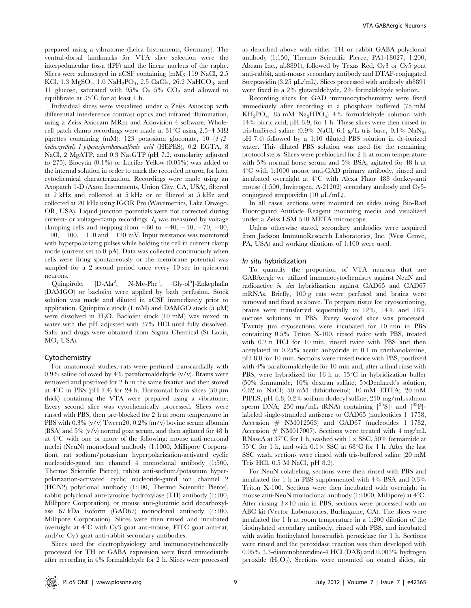prepared using a vibratome (Leica Instruments, Germany). The ventral-dorsal landmarks for VTA slice selection were the interpeduncular fossa (IPF) and the linear nucleus of the raphe. Slices were submerged in aCSF containing (mM): 119 NaCl, 2.5 KCl, 1.3 MgSO<sub>4</sub>, 1.0 NaH<sub>2</sub>PO<sub>4</sub>, 2.5 CaCl<sub>2</sub>, 26.2 NaHCO<sub>3</sub>, and 11 glucose, saturated with 95%  $O_2$ –5%  $CO_2$  and allowed to equilibrate at  $35^{\circ}$ C for at least 1 h.

Individual slices were visualized under a Zeiss Axioskop with differential interference contrast optics and infrared illumination, using a Zeiss Axiocam MRm and Axiovision 4 software. Wholecell patch clamp recordings were made at  $31^{\circ}$ C using 2.5–4 M $\Omega$ pipettes containing (mM): 123 potassium gluconate, 10 (4-(2 hydroxyethyl)-1-piperazineethanesulfonic acid (HEPES), 0.2 EGTA, 8 NaCl, 2 MgATP, and 0.3 Na<sub>3</sub>GTP (pH 7.2, osmolarity adjusted to 275). Biocytin (0.1%) or Lucifer Yellow (0.05%) was added to the internal solution in order to mark the recorded neuron for later cytochemical characterization. Recordings were made using an Axopatch 1-D (Axon Instruments, Union City, CA, USA), filtered at 2 kHz and collected at 5 kHz or or filtered at 5 kHz and collected at 20 kHz using IGOR Pro (Wavemetrics, Lake Oswego, OR, USA). Liquid junction potentials were not corrected during current- or voltage-clamp recordings.  $I<sub>b</sub>$  was measured by voltage clamping cells and stepping from  $-60$  to  $-40$ ,  $-50$ ,  $-70$ ,  $-80$ ,  $-90$ ,  $-100$ ,  $-110$  and  $-120$  mV. Input resistance was monitored with hyperpolarizing pulses while holding the cell in current clamp mode (current set to 0 pA). Data was collected continuously when cells were firing spontaneously or the membrane potential was sampled for a 2 second period once every 10 sec in quiescent neurons.

Ouinpirole,  $[D-Ala<sup>2</sup>,]$  $N-Me-Phe<sup>4</sup>$ , , Gly-ol<sup>5</sup>]-Enkephalin (DAMGO) or baclofen were applied by bath perfusion. Stock solution was made and diluted in aCSF immediately prior to application. Quinpirole stock  $(1 \text{ mM})$  and DAMGO stock  $(5 \text{ µ})$ were dissolved in H2O. Baclofen stock (10 mM) was mixed in water with the pH adjusted with 37% HCl until fully dissolved. Salts and drugs were obtained from Sigma Chemical (St Louis, MO, USA).

#### Cytochemistry

For anatomical studies, rats were perfused transcardially with 0.9% saline followed by 4% paraformaldehyde  $(v/v)$ . Brains were removed and postfixed for 2 h in the same fixative and then stored at  $4^{\circ}$ C in PBS (pH 7.4) for 24 h. Horizontal brain slices (50 µm thick) containing the VTA were prepared using a vibratome. Every second slice was cytochemically processed. Slices were rinsed with PBS, then pre-blocked for 2 h at room temperature in PBS with 0.3% (v/v) Tween20, 0.2% (m/v) bovine serum albumin (BSA) and 5% (v/v) normal goat serum, and then agitated for 48 h at  $4^{\circ}$ C with one or more of the following: mouse anti-neuronal nuclei (NeuN) monoclonal antibody (1:1000, Millipore Corporation), rat sodium/potassium hyperpolarization-activated cyclic nucleotide-gated ion channel 4 monoclonal antibody (1:500, Thermo Scientific Pierce), rabbit anti-sodium/potassium hyperpolarization-activated cyclic nucleotide-gated ion channel 2 (HCN2) polyclonal antibody (1:100, Thermo Scientific Pierce), rabbit polyclonal anti-tyrosine hydroxylase (TH) antibody (1:100, Millipore Corporation), or mouse anti-glutamic acid decarboxylase 67 kDa isoform (GAD67) monoclonal antibody (1:100, Millipore Corporation). Slices were then rinsed and incubated overnight at  $4^{\circ}$ C with Cy3 goat anti-mouse, FITC goat anti-rat, and/or Cy5 goat anti-rabbit secondary antibodies.

Slices used for electrophysiology and immunocytochemically processed for TH or GABA expression were fixed immediately after recording in 4% formaldehyde for 2 h. Slices were processed as described above with either TH or rabbit GABA polyclonal antibody (1:150, Thermo Scientific Pierce, PA1-18027; 1:200, Abcam Inc., ab8891), followed by Texas Red, Cy3 or Cy5 goat anti-rabbit, anti-mouse secondary antibody and DTAF-conjugated Streptavidin (3.25  $\mu$ L/mL). Slices processed with antibody ab8891 were fixed in a 2% glutaraldehyde, 2% formaldehyde solution.

Recording slices for GAD immunocytochemistry were fixed immediately after recording in a phosphate buffered (75 mM  $KH_2PO_4$ , 85 mM Na<sub>2</sub>HPO<sub>4</sub>) 4% formaldehyde solution with 14% picric acid, pH 6.9, for 1 h. These slices were then rinsed in tris-buffered saline (0.9% NaCl, 6.1 g/L tris base, 0.1% NaN3, pH 7.4) followed by a 1:10 diluted PBS solution in de-ionized water. This diluted PBS solution was used for the remaining protocol steps. Slices were preblocked for 2 h at room temperature with 5% normal horse serum and 5% BSA, agitated for 48 h at  $4^{\circ}$ C with 1:1000 mouse anti-GAD primary antibody, rinsed and incubated overnight at  $4^{\circ}$ C with Alexa Fluor 488 donkey-anti mouse (1:500, Invitrogen, A-21202) secondary antibody and Cy5 conjugated streptavidin (10 µL/mL).

In all cases, sections were mounted on slides using Bio-Rad Fluoroguard Antifade Reagent mounting media and visualized under a Zeiss LSM 510 META microscope.

Unless otherwise stated, secondary antibodies were acquired from Jackson ImmunoResearch Laboratories, Inc. (West Grove, PA, USA) and working dilutions of 1:100 were used.

#### In situ hybridization

To quantify the proportion of VTA neurons that are GABAergic we utilized immunocytochemistry against NeuN and radioactive in situ hybridization against GAD65 and GAD67 mRNAs. Briefly, 100 g rats were perfused and brains were removed and fixed as above. To prepare tissue for cryosectioning, brains were transferred sequentially to 12%, 14% and 18% sucrose solutions in PBS. Every second slice was processed. Twenty um cryosections were incubated for 10 min in PBS containing 0.5% Triton X-100, rinsed twice with PBS, treated with 0.2 n HCl for 10 min, rinsed twice with PBS and then acetylated in 0.25% acetic anhydride in 0.1 m triethanolamine, pH 8.0 for 10 min. Sections were rinsed twice with PBS, postfixed with 4% paraformaldehyde for 10 min and, after a final rinse with PBS, were hybridized for 16 h at  $55^{\circ}$ C in hybridization buffer (50% formamide;  $10\%$  dextran sulfate;  $5\times$ Denhardt's solution; 0.62 m NaCl; 50 mM dithiothreitol; 10 mM EDTA; 20 mM PIPES, pH 6.8; 0.2% sodium dodecyl sulfate; 250 mg/mL salmon sperm DNA; 250 mg/mL tRNA) containing  $\binom{35}{5}$ - and  $\binom{33}{1}$ labeled single-stranded antisense to GAD65 (nucleotides 1–1758, Accession # NM012563) and GAD67 (nucleotides 1–1782, Accession  $#$  NM017007). Sections were treated with 4 mg/mL RNaseA at  $37^{\circ}$ C for 1 h, washed with  $1 \times$  SSC, 50% formamide at 55<sup>°</sup>C for 1 h, and with  $0.1 \times$  SSC at 68<sup>°</sup>C for 1 h. After the last SSC wash, sections were rinsed with tris-buffered saline (20 mM Tris HCl, 0.5 M NaCl, pH 8.2).

For NeuN colabeling, sections were then rinsed with PBS and incubated for 1 h in PBS supplemented with 4% BSA and 0.3% Triton X-100. Sections were then incubated with overnight in mouse anti-NeuN monoclonal antibody  $(1:1000,$  Millipore) at  $4^{\circ}$ C. After rinsing  $3\times10$  min in PBS, sections were processed with an ABC kit (Vector Laboratories, Burlingame, CA). The slices were incubated for 1 h at room temperature in a 1:200 dilution of the biotinylated secondary antibody, rinsed with PBS, and incubated with avidin biotinylated horseradish peroxidase for 1 h. Sections were rinsed and the peroxidase reaction was then developed with 0.05% 3,3-diaminobenzidine-4 HCl (DAB) and 0.003% hydrogen peroxide  $(H_2O_2)$ . Sections were mounted on coated slides, air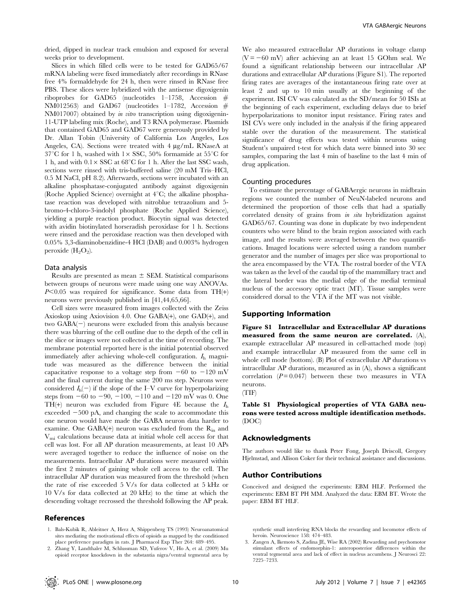dried, dipped in nuclear track emulsion and exposed for several weeks prior to development.

Slices in which filled cells were to be tested for GAD65/67 mRNA labeling were fixed immediately after recordings in RNase free 4% formaldehyde for 24 h, then were rinsed in RNase free PBS. These slices were hybridized with the antisense digoxigenin riboprobes for GAD65 (nucleotides 1–1758, Accession # NM012563) and GAD67 (nucleotides 1–1782, Accession  $#$ NM017007) obtained by in vitro transcription using digoxigenin-11-UTP labeling mix (Roche), and T3 RNA polymerase. Plasmids that contained GAD65 and GAD67 were generously provided by Dr. Allan Tobin (University of California Los Angeles, Los Angeles, CA). Sections were treated with 4 µg/mL RNaseA at 37<sup>°</sup>C for 1 h, washed with  $1 \times$  SSC, 50% formamide at 55<sup>°</sup>C for 1 h, and with  $0.1 \times$  SSC at 68<sup>°</sup>C for 1 h. After the last SSC wash, sections were rinsed with tris-buffered saline (20 mM Tris–HCl, 0.5 M NaCl, pH 8.2). Afterwards, sections were incubated with an alkaline phosphatase-conjugated antibody against digoxigenin (Roche Applied Science) overnight at  $4^{\circ}$ C; the alkaline phosphatase reaction was developed with nitroblue tetrazolium and 5 bromo-4-chloro-3-indolyl phosphate (Roche Applied Science), yielding a purple reaction product. Biocytin signal was detected with avidin biotinylated horseradish peroxidase for 1 h. Sections were rinsed and the peroxidase reaction was then developed with 0.05% 3,3-diaminobenzidine-4 HCl (DAB) and 0.003% hydrogen peroxide  $(H_2O_2)$ .

## Data analysis

Results are presented as mean  $\pm$  SEM. Statistical comparisons between groups of neurons were made using one way ANOVAs.  $P<0.05$  was required for significance. Some data from TH(+) neurons were previously published in [41,44,65,66].

Cell sizes were measured from images collected with the Zeiss Axioskop using Axiovision 4.0. One GABA(+), one GAD(+), and two  $GABA(-)$  neurons were excluded from this analysis because there was blurring of the cell outline due to the depth of the cell in the slice or images were not collected at the time of recording. The membrane potential reported here is the initial potential observed immediately after achieving whole-cell configuration.  $I<sub>h</sub>$  magnitude was measured as the difference between the initial capacitative response to a voltage step from  $-60$  to  $-120$  mV and the final current during the same 200 ms step. Neurons were considered  $I_h(-)$  if the slope of the I–V curve for hyperpolarizing steps from  $-60$  to  $-90$ ,  $-100$ ,  $-110$  and  $-120$  mV was 0. One TH(+) neuron was excluded from Figure 4E because the  $I<sub>h</sub>$ exceeded  $-500$  pA, and changing the scale to accommodate this one neuron would have made the GABA neuron data harder to examine. One GABA(+) neuron was excluded from the  $R_{in}$  and  $V_{\rm mi}$  calculations because data at initial whole cell access for that cell was lost. For all AP duration measurements, at least 10 APs were averaged together to reduce the influence of noise on the measurements. Intracellular AP durations were measured within the first 2 minutes of gaining whole cell access to the cell. The intracellular AP duration was measured from the threshold (when the rate of rise exceeded 5 V/s for data collected at 5 kHz or 10 V/s for data collected at 20 kHz) to the time at which the descending voltage recrossed the threshold following the AP peak.

#### References

1. Bals-Kubik R, Ableitner A, Herz A, Shippenberg TS (1993) Neuroanatomical sites mediating the motivational effects of opioids as mapped by the conditioned place preference paradigm in rats. J Pharmacol Exp Ther 264: 489–495.

We also measured extracellular AP durations in voltage clamp  $(V = -60$  mV) after achieving an at least 15 GOhm seal. We found a significant relationship between our intracellular AP durations and extracellular AP durations (Figure S1). The reported firing rates are averages of the instantaneous firing rate over at least 2 and up to 10 min usually at the beginning of the experiment. ISI CV was calculated as the SD/mean for 50 ISIs at the beginning of each experiment, excluding delays due to brief hyperpolarizations to monitor input resistance. Firing rates and ISI CVs were only included in the analysis if the firing appeared stable over the duration of the measurement. The statistical significance of drug effects was tested within neurons using Student's unpaired t-test for which data were binned into 30 sec samples, comparing the last 4 min of baseline to the last 4 min of drug application.

#### Counting procedures

To estimate the percentage of GABAergic neurons in midbrain regions we counted the number of NeuN-labeled neurons and determined the proportion of those cells that had a spatially correlated density of grains from *in situ* hybridization against GAD65/67. Counting was done in duplicate by two independent counters who were blind to the brain region associated with each image, and the results were averaged between the two quantifications. Imaged locations were selected using a random number generator and the number of images per slice was proportional to the area encompassed by the VTA. The rostral border of the VTA was taken as the level of the caudal tip of the mammillary tract and the lateral border was the medial edge of the medial terminal nucleus of the accessory optic tract (MT). Tissue samples were considered dorsal to the VTA if the MT was not visible.

## Supporting Information

Figure S1 Intracellular and Extracellular AP durations measured from the same neuron are correlated. (A), example extracellular AP measured in cell-attached mode (top) and example intracellular AP measured from the same cell in whole cell mode (bottom). (B) Plot of extracellular AP durations vs intracellular AP durations, measured as in (A), shows a significant correlation  $(P = 0.047)$  between these two measures in VTA neurons.



Table S1 Physiological properties of VTA GABA neurons were tested across multiple identification methods. (DOC)

#### Acknowledgments

The authors would like to thank Peter Fong, Joseph Driscoll, Gregory Hjelmstad, and Allison Coker for their technical assistance and discussions.

#### Author Contributions

Conceived and designed the experiments: EBM HLF. Performed the experiments: EBM BT PH MM. Analyzed the data: EBM BT. Wrote the paper: EBM BT HLF.

synthetic small interfering RNA blocks the rewarding and locomotor effects of heroin. Neuroscience 158: 474–483.

<sup>3.</sup> Zangen A, Ikemoto S, Zadina JE, Wise RA (2002) Rewarding and psychomotor stimulant effects of endomorphin-1: anteroposterior differences within the ventral tegmental area and lack of effect in nucleus accumbens. J Neurosci 22: 7225–7233.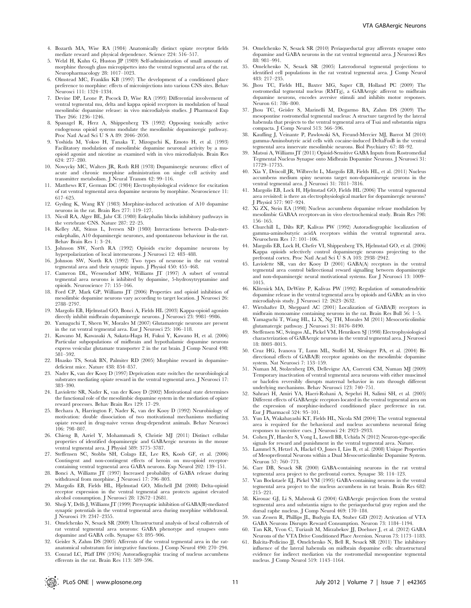- 4. Bozarth MA, Wise RA (1984) Anatomically distinct opiate receptor fields mediate reward and physical dependence. Science 224: 516–517.
- 5. Welzl H, Kuhn G, Huston JP (1989) Self-administration of small amounts of morphine through glass micropipettes into the ventral tegmental area of the rat. Neuropharmacology 28: 1017–1023.
- 6. Olmstead MC, Franklin KB (1997) The development of a conditioned place preference to morphine: effects of microinjections into various CNS sites. Behav Neurosci 111: 1324–1334.
- 7. Devine DP, Leone P, Pocock D, Wise RA (1993) Differential involvement of ventral tegmental mu, delta and kappa opioid receptors in modulation of basal mesolimbic dopamine release: in vivo microdialysis studies. J Pharmacol Exp Ther 266: 1236–1246.
- 8. Spanagel R, Herz A, Shippenberg TS (1992) Opposing tonically active endogenous opioid systems modulate the mesolimbic dopaminergic pathway. Proc Natl Acad Sci U S A 89: 2046–2050.
- 9. Yoshida M, Yokoo H, Tanaka T, Mizoguchi K, Emoto H, et al. (1993) Facilitatory modulation of mesolimbic dopamine neuronal activity by a muopioid agonist and nicotine as examined with in vivo microdialysis. Brain Res 624: 277–280.
- 10. Nowycky MC, Walters JR, Roth RH (1978) Dopaminergic neurons: effect of acute and chronic morphine administration on single cell activity and transmitter metabolism. J Neural Transm 42: 99–116.
- 11. Matthews RT, German DC (1984) Electrophysiological evidence for excitation of rat ventral tegmental area dopamine neurons by morphine. Neuroscience 11: 617–625.
- 12. Gysling K, Wang RY (1983) Morphine-induced activation of A10 dopamine neurons in the rat. Brain Res 277: 119–127.
- 13. Nicoll RA, Alger BE, Jahr CE (1980) Enkephalin blocks inhibitory pathways in the vertebrate CNS. Nature 287: 22–25.
- 14. Kelley AE, Stinus L, Iversen SD (1980) Interactions between D-ala-metenkephalin, A10 dopaminergic neurones, and spontaneous behaviour in the rat. Behav Brain Res 1: 3–24.
- 15. Johnson SW, North RA (1992) Opioids excite dopamine neurons by hyperpolarization of local interneurons. J Neurosci 12: 483–488.
- 16. Johnson SW, North RA (1992) Two types of neurone in the rat ventral tegmental area and their synaptic inputs. J Physiol 450: 455–468.
- 17. Cameron DL, Wessendorf MW, Williams JT (1997) A subset of ventral tegmental area neurons is inhibited by dopamine, 5-hydroxytryptamine and opioids. Neuroscience 77: 155–166.
- 18. Ford CP, Mark GP, Williams JT (2006) Properties and opioid inhibition of mesolimbic dopamine neurons vary according to target location. J Neurosci 26: 2788–2797.
- 19. Margolis EB, Hjelmstad GO, Bonci A, Fields HL (2003) Kappa-opioid agonists directly inhibit midbrain dopaminergic neurons. J Neurosci 23: 9981–9986.
- 20. Yamaguchi T, Sheen W, Morales M (2007) Glutamatergic neurons are present in the rat ventral tegmental area. Eur J Neurosci 25: 106–118.
- 21. Kawano M, Kawasaki A, Sakata-Haga H, Fukui Y, Kawano H, et al. (2006) Particular subpopulations of midbrain and hypothalamic dopamine neurons express vesicular glutamate transporter 2 in the rat brain. J Comp Neurol 498: 581–592.
- 22. Hnasko TS, Sotak BN, Palmiter RD (2005) Morphine reward in dopaminedeficient mice. Nature 438: 854–857.
- 23. Nader K, van der Kooy D (1997) Deprivation state switches the neurobiological substrates mediating opiate reward in the ventral tegmental area. J Neurosci 17: 383–390.
- 24. Laviolette SR, Nader K, van der Kooy D (2002) Motivational state determines the functional role of the mesolimbic dopamine system in the mediation of opiate reward processes. Behav Brain Res 129: 17–29.
- 25. Bechara A, Harrington F, Nader K, van der Kooy D (1992) Neurobiology of motivation: double dissociation of two motivational mechanisms mediating opiate reward in drug-naive versus drug-dependent animals. Behav Neurosci 106: 798–807.
- 26. Chieng B, Azriel Y, Mohammadi S, Christie MJ (2011) Distinct cellular properties of identified dopaminergic and GABAergic neurons in the mouse ventral tegmental area. J Physiol 589: 3775–3787.
- 27. Steffensen SC, Stobbs SH, Colago EE, Lee RS, Koob GF, et al. (2006) Contingent and non-contingent effects of heroin on mu-opioid receptorcontaining ventral tegmental area GABA neurons. Exp Neurol 202: 139–151.
- 28. Bonci A, Williams JT (1997) Increased probability of GABA release during withdrawal from morphine. J Neurosci 17: 796–803.
- 29. Margolis EB, Fields HL, Hjelmstad GO, Mitchell JM (2008) Delta-opioid receptor expression in the ventral tegmental area protects against elevated alcohol consumption. J Neurosci 28: 12672–12681.
- 30. Shoji Y, Delfs J, Williams JT (1999) Presynaptic inhibition of GABA(B)-mediated synaptic potentials in the ventral tegmental area during morphine withdrawal. J Neurosci 19: 2347–2355.
- 31. Omelchenko N, Sesack SR (2009) Ultrastructural analysis of local collaterals of rat ventral tegmental area neurons: GABA phenotype and synapses onto dopamine and GABA cells. Synapse 63: 895–906.
- 32. Geisler S, Zahm DS (2005) Afferents of the ventral tegmental area in the ratanatomical substratum for integrative functions. J Comp Neurol 490: 270–294.
- 33. Conrad LC, Pfaff DW (1976) Autoradiographic tracing of nucleus accumbens efferents in the rat. Brain Res 113: 589–596.
- 34. Omelchenko N, Sesack SR (2010) Periaqueductal gray afferents synapse onto dopamine and GABA neurons in the rat ventral tegmental area. J Neurosci Res 88: 981–991.
- 35. Omelchenko N, Sesack SR (2005) Laterodorsal tegmental projections to identified cell populations in the rat ventral tegmental area. J Comp Neurol 483: 217–235.
- 36. Jhou TC, Fields HL, Baxter MG, Saper CB, Holland PC (2009) The rostromedial tegmental nucleus (RMTg), a GABAergic afferent to midbrain dopamine neurons, encodes aversive stimuli and inhibits motor responses. Neuron 61: 786–800.
- 37. Jhou TC, Geisler S, Marinelli M, Degarmo BA, Zahm DS (2009) The mesopontine rostromedial tegmental nucleus: A structure targeted by the lateral habenula that projects to the ventral tegmental area of Tsai and substantia nigra compacta. J Comp Neurol 513: 566–596.
- 38. Kaufling J, Veinante P, Pawlowski SA, Freund-Mercier MJ, Barrot M (2010) gamma-Aminobutyric acid cells with cocaine-induced DeltaFosB in the ventral tegmental area innervate mesolimbic neurons. Biol Psychiatry 67: 88–92.
- 39. Matsui A, Williams JT (2011) Opioid-Sensitive GABA Inputs from Rostromedial Tegmental Nucleus Synapse onto Midbrain Dopamine Neurons. J Neurosci 31: 17729–17735.
- 40. Xia Y, Driscoll JR, Wilbrecht L, Margolis EB, Fields HL, et al. (2011) Nucleus accumbens medium spiny neurons target non-dopaminergic neurons in the ventral tegmental area. J Neurosci 31: 7811–7816.
- 41. Margolis EB, Lock H, Hjelmstad GO, Fields HL (2006) The ventral tegmental area revisited: is there an electrophysiological marker for dopaminergic neurons? J Physiol 577: 907–924.
- 42. Xi ZX, Stein EA (1998) Nucleus accumbens dopamine release modulation by mesolimbic GABAA receptors-an in vivo electrochemical study. Brain Res 798: 156–165.
- 43. Churchill L, Dilts RP, Kalivas PW (1992) Autoradiographic localization of gamma-aminobutyric acidA receptors within the ventral tegmental area. Neurochem Res 17: 101–106.
- 44. Margolis EB, Lock H, Chefer VI, Shippenberg TS, Hjelmstad GO, et al. (2006) Kappa opioids selectively control dopaminergic neurons projecting to the prefrontal cortex. Proc Natl Acad Sci U S A 103: 2938–2942.
- 45. Laviolette SR, van der Kooy D (2001) GABA(A) receptors in the ventral tegmental area control bidirectional reward signalling between dopaminergic and non-dopaminergic neural motivational systems. Eur J Neurosci 13: 1009– 1015.
- 46. Klitenick MA, DeWitte P, Kalivas PW (1992) Regulation of somatodendritic dopamine release in the ventral tegmental area by opioids and GABA: an in vivo microdialysis study. J Neurosci 12: 2623–2632.
- 47. Wirtshafter D, Sheppard AC (2001) Localization of GABA(B) receptors in midbrain monoamine containing neurons in the rat. Brain Res Bull 56: 1–5.
- 48. Yamaguchi T, Wang HL, Li X, Ng TH, Morales M (2011) Mesocorticolimbic glutamatergic pathway. J Neurosci 31: 8476–8490.
- 49. Steffensen SC, Svingos AL, Pickel VM, Henriksen SJ (1998) Electrophysiological characterization of GABAergic neurons in the ventral tegmental area. J Neurosci 18: 8003–8015.
- 50. Cruz HG, Ivanova T, Lunn ML, Stoffel M, Slesinger PA, et al. (2004) Bidirectional effects of GABA(B) receptor agonists on the mesolimbic dopamine system. Nat Neurosci 7: 153–159.
- 51. Numan M, Stolzenberg DS, Dellevigne AA, Correnti CM, Numan MJ (2009) Temporary inactivation of ventral tegmental area neurons with either muscimol or baclofen reversibly disrupts maternal behavior in rats through different underlying mechanisms. Behav Neurosci 123: 740–751.
- 52. Sahraei H, Amiri YA, Haeri-Rohani A, Sepehri H, Salimi SH, et al. (2005) Different effects of GABAergic receptors located in the ventral tegmental area on the expression of morphine-induced conditioned place preference in rat. Eur J Pharmacol 524: 95–101.
- 53. Yun IA, Wakabayashi KT, Fields HL, Nicola SM (2004) The ventral tegmental area is required for the behavioral and nucleus accumbens neuronal firing responses to incentive cues. J Neurosci 24: 2923–2933.
- 54. Cohen JY, Haesler S, Vong L, Lowell BB, Uchida N (2012) Neuron-type-specific signals for reward and punishment in the ventral tegmental area. Nature.
- 55. Lammel S, Hetzel A, Hackel O, Jones I, Liss B, et al. (2008) Unique Properties of Mesoprefrontal Neurons within a Dual Mesocorticolimbic Dopamine System. Neuron 57: 760–773.
- 56. Carr DB, Sesack SR (2000) GABA-containing neurons in the rat ventral tegmental area project to the prefrontal cortex. Synapse 38: 114–123.
- Van Bockstaele EJ, Pickel VM (1995) GABA-containing neurons in the ventral tegmental area project to the nucleus accumbens in rat brain. Brain Res 682: 215–221.
- 58. Kirouac GJ, Li S, Mabrouk G (2004) GABAergic projection from the ventral tegmental area and substantia nigra to the periaqueductal gray region and the dorsal raphe nucleus. J Comp Neurol 469: 170–184.
- 59. van Zessen R, Phillips JL, Budygin EA, Stuber GD (2012) Activation of VTA GABA Neurons Disrupts Reward Consumption. Neuron 73: 1184–1194.
- 60. Tan KR, Yvon C, Turiault M, Mirzabekov JJ, Doehner J, et al. (2012) GABA Neurons of the VTA Drive Conditioned Place Aversion. Neuron 73: 1173–1183.
- 61. Balcita-Pedicino JJ, Omelchenko N, Bell R, Sesack SR (2011) The inhibitory influence of the lateral habenula on midbrain dopamine cells: ultrastructural evidence for indirect mediation via the rostromedial mesopontine tegmental nucleus. J Comp Neurol 519: 1143–1164.